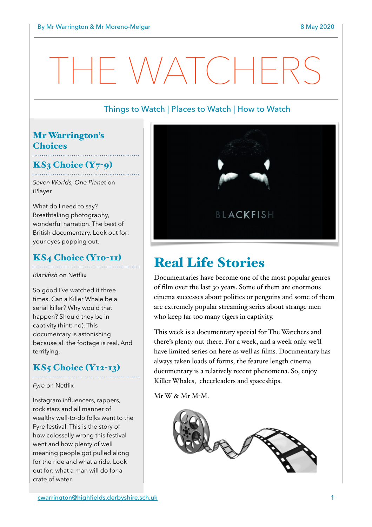# $\bigwedge\bigwedge\bigwedge\bigwedge$  (  $\bigwedge\bigwedge\bigwedge$

# Things to Watch | Places to Watch | How to Watch

# Mr Warrington's **Choices**

# $KS<sub>3</sub> Choice (Y<sub>7</sub>-<sub>9</sub>)$

*Seven Worlds, One Planet* on iPlayer

What do I need to say? Breathtaking photography, wonderful narration. The best of British documentary. Look out for: your eyes popping out.

# KS4 Choice (Y10-11)

*Blackfish* on Netflix

So good I've watched it three times. Can a Killer Whale be a serial killer? Why would that happen? Should they be in captivity (hint: no). This documentary is astonishing because all the footage is real. And terrifying.

# KS5 Choice (Y12-13)

*Fyre* on Netflix

Instagram influencers, rappers, rock stars and all manner of wealthy well-to-do folks went to the Fyre festival. This is the story of how colossally wrong this festival went and how plenty of well meaning people got pulled along for the ride and what a ride. Look out for: what a man will do for a crate of water.



# Real Life Stories

Documentaries have become one of the most popular genres of film over the last 30 years. Some of them are enormous cinema successes about politics or penguins and some of them are extremely popular streaming series about strange men who keep far too many tigers in captivity.

This week is a documentary special for The Watchers and there's plenty out there. For a week, and a week only, we'll have limited series on here as well as films. Documentary has always taken loads of forms, the feature length cinema documentary is a relatively recent phenomena. So, enjoy Killer Whales, cheerleaders and spaceships.

Mr W & Mr M-M.